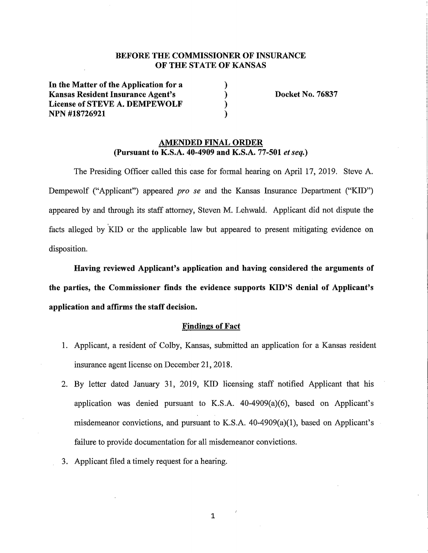# BEFORE THE COMMISSIONER OF INSURANCE OF THE STATE OF KANSAS

) ) ) )

In **the Matter of the Application for a Kansas Resident Insurance Agent's License of STEVE A. DEMPEWOLF NPN #18726921** 

**Docket No. 76837** 

### **AMENDED FINAL ORDER (Pursuant to K.S.A. 40-4909 and K.S.A. 77-501** *et seq.)*

The Presiding Officer called this case for formal hearing on April 17, 2019. Steve A. Dempewolf ("Applicant") appeared *pro se* and the Kansas Insurance Department **("KID")**  appeared by and through its staff attorney, Steven M. Lehwald. Applicant did not dispute the facts alleged by KID or the applicable law but appeared to present mitigating evidence on disposition.

**Having reviewed Applicant's application and having considered the arguments of the parties, the Commissioner finds the evidence supports KID'S denial of Applicant's application and affirms the staff decision.** 

#### **Findings of Fact**

- 1. Applicant, a resident of Colby, Kansas, submitted an application for a Kansas resident insurance agent license on December 21, 2018.
- 2. By letter dated January 31, 2019, KID licensing staff notified Applicant that his application was denied pursuant to K.S.A. 40-4909(a)(6), based on Applicant's misdemeanor convictions, and pursuant to K.S.A. 40-4909(a)(l), based on Applicant's failure to provide documentation for all misdemeanor convictions.
- 3. Applicant filed a timely request for a hearing.

1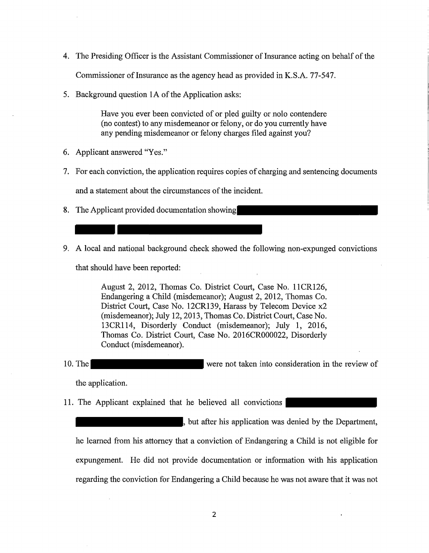4. The Presiding Officer is the Assistant Commissioner of Insurance acting on behalf of the

Commissioner of Insurance as the agency head as provided in K.S.A. 77-547.

5. Background question IA of the Application asks:

Have you ever been convicted of or pled guilty or nolo contendere (no contest) to any misdemeanor or felony, or do you currently have any pending misdemeanor or felony charges filed against you?

- 6. Applicant answered "Yes."
- 7. For each conviction, the application requires copies of charging and sentencing documents

and a statement about the circumstances of the incident.

- 8. The Applicant provided documentation showing
- 9. A local and national background check showed the following non-expunged convictions

that should have been reported:

August 2, 2012, Thomas Co. District Court, Case No. 11CR126, Endangering a Child (misdemeanor); August 2, 2012, Thomas Co. District Court, Case No. 12CR139, Harass by Telecom Device x2 (misdemeanor); July 12, 2013, Thomas Co. District Court, Case No. 13CR114, Disorderly Conduct (misdemeanor); July **1,** 2016, Thomas Co. District Court, Case No. 2016CR000022, Disorderly Conduct (misdemeanor).

10. The were not taken into consideration in the review of

the application.

**11.** The Applicant explained that he believed all convictions

but after his application was denied by the Department, he learned from his attorney that a conviction of Endangering a Child is not eligible for expungement. He did not provide documentation or information with his application regarding the conviction for Endangering a Child because he was not aware that it was not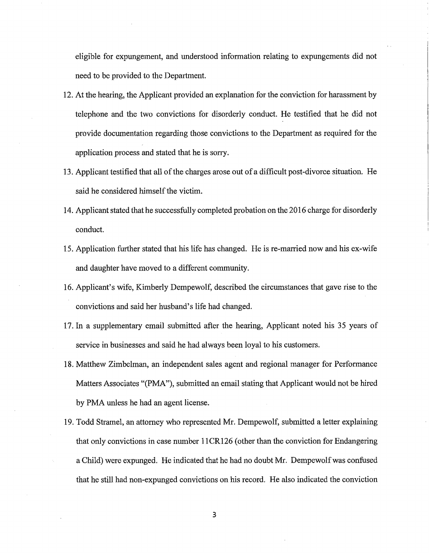eligible for expungement, and understood information relating to expungements did not need to be provided to the Department.

- 12. At the hearing, the Applicant provided an explanation for the conviction for harassment by telephone and the two convictions for disorderly conduct. He testified that he did not provide documentation regarding those convictions to the Department as required for the application process and stated that he is sony.
- 13. Applicant testified that all of the charges arose out ofa difficult post-divorce situation. He said he considered himself the victim.
- 14. Applicant stated that he successfully completed probation on the 2016 charge for disorderly conduct.
- 15. Application further stated that his life has changed. He is re-married now and his ex-wife and daughter have moved to a different community.
- 16. Applicant's wife, Kimberly Dempewolf, described the circumstances that gave rise to the convictions and said her husband's life had changed.
- 17. In a supplementary email submitted after the hearing, Applicant noted his 35 years of service in businesses and said he had always been loyal to his customers.
- 18. Matthew Zimbelman, an independent sales agent and regional manager for Performance Matters Associates "(PMA"), submitted an email stating that Applicant would not be hired by PMA unless he had an agent license.
- 19. Todd Stramel, an attorney who represented Mr. Dempewolf, submitted a letter explaining that only convictions in case number 11 CR126 (other than the conviction for Endangering a Child) were expunged. He indicated that he had no doubt Mr. Dempewolf was confused that he still had non-expunged convictions on his record. He also indicated the conviction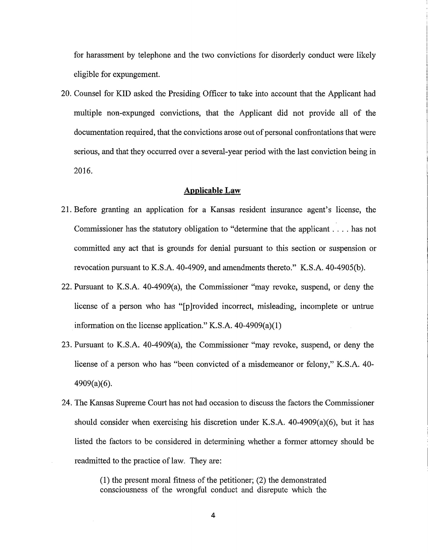for harassment by telephone and the two convictions for disorderly conduct were likely eligible for expungement.

20. Counsel for KID asked the Presiding Officer to take into account that the Applicant had multiple non-expunged convictions, that the Applicant did not provide all of the documentation required, that the convictions arose out of personal confrontations that were serious, and that they occurred over a several-year period with the last conviction being in 2016.

## **Applicable Law**

- 21. Before granting an application for a Kansas resident msurance agent's license, the Commissioner has the statutory obligation to "determine that the applicant ..., has not committed any act that is grounds for denial pursuant to this section or suspension or revocation pursuant to K.S.A. 40-4909, and amendments thereto." K.S.A. 40-4905(b).
- 22. Pursuant to K.S.A. 40-4909(a), the Commissioner "may revoke, suspend, or deny the license of a person who has "[p]rovided incorrect, misleading, incomplete or untrue information on the license application." K.S.A. 40-4909(a)(l)
- 23. Pursuant to K.S.A. 40-4909(a), the Commissioner "may revoke, suspend, or deny the license of a person who has "been convicted of a misdemeanor or felony," K.S.A. 40- 4909(a)(6).
- 24. The Kansas Supreme Court has not had occasion to discuss the factors the Commissioner should consider when exercising his discretion under K.S.A. 40-4909(a)(6), but it has listed the factors to be considered in determining whether a former attorney should be readmitted to the practice of law. They are:

(1) the present moral fitness of the petitioner; (2) the demonstrated consciousness of the wrongful conduct and disrepute which the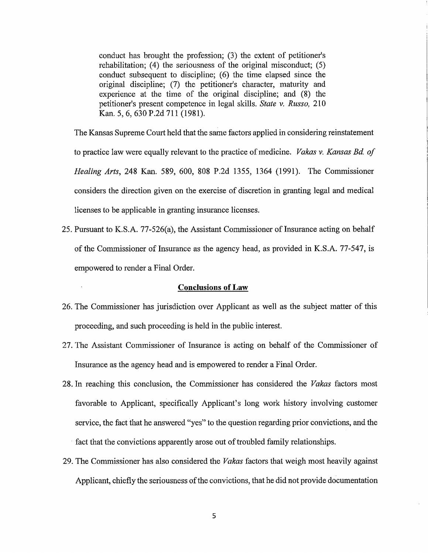conduct has brought the profession; (3) the extent of petitioner's rehabilitation; (4) the seriousness of the original misconduct; (5) conduct subsequent to discipline; (6) the time elapsed since the original discipline; (7) the petitioner's character, maturity and experience at the time of the original discipline; and (8) the petitioner's present competence in legal skills. *State v. Russo,* 210 Kan. 5, 6, 630 P.2d 711 (1981).

The Kansas Supreme Court held that the same factors applied in considering reinstatement to practice law were equally relevant to the practice of medicine. *Vakas v. Kansas Bd of Healing Arts,* 248 Kan. 589, 600, 808 P.2d 1355, 1364 (1991). The Commissioner considers the direction given on the exercise of discretion in granting legal and medical licenses to be applicable in granting insurance licenses.

25. Pursuant to K.S.A. 77-526(a), the Assistant Commissioner of Insurance acting on behalf of the Commissioner of Insurance as the agency head, as provided in K.S.A. 77-547, is empowered to render a Final Order.

# **Conclusions of Law**

- 26. The Commissioner has jurisdiction over Applicant as well as the subject matter of this proceeding, and such proceeding is held in the public interest.
- 27. The Assistant Commissioner of Insurance is acting on behalf of the Commissioner of Insurance as the agency head and is empowered to render a Final Order.
- 28. In reaching this conclusion, the Commissioner has considered the *Vakas* factors most favorable to Applicant, specifically Applicant's long work history involving customer service, the fact that he answered "yes" to the question regarding prior convictions, and the fact that the convictions apparently arose out of troubled family relationships.
- 29. The Commissioner has also considered the *Vakas* factors that weigh most heavily against Applicant, chiefly the seriousness of the convictions, that he did not provide documentation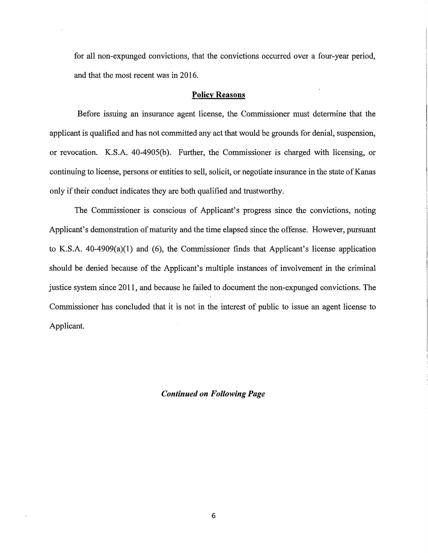for all non-expunged convictions, that the convictions occurred over a four-year period, and that the most recent was in 2016.

#### **Policy Reasons**

Before issuing an insurance agent license, the Commissioner must determine that the applicant is qualified and has not committed any act that would be grounds for denial, suspension, or revocation. K.S.A. 40-4905(b). Further, the Commissioner is charged with licensing, or continuing to license, persons or entities to sell, solicit, or negotiate insurance in the state of Kanas ' only if their conduct indicates they are both qualified and trustworthy.

The Commissioner is conscious of Applicant's progress since the convictions, noting Applicant's demonstration of maturity and the time elapsed since the offense. However, pursuant to K.S.A.  $40-4909(a)(1)$  and (6), the Commissioner finds that Applicant's license application should be denied because of the Applicant's multiple instances of involvement in the criminal justice system since 2011, and because he failed to document the non-expunged convictions. The Commissioner has concluded that it is not in the interest of public to issue an agent license to Applicant.

### *Continued on Following Page*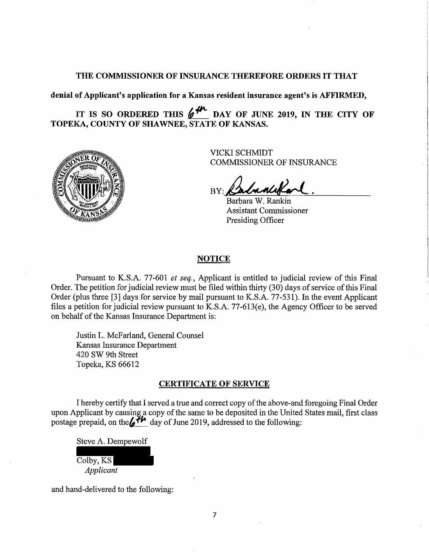### THE COMMISSIONER OF INSURANCE THEREFORE ORDERS IT THAT

**denial of Applicant's application for a Kansas resident insurance agent's is AFFIRMED,** 

IT IS SO ORDERED THIS  $/$ <sup>*II*</sup>, DAY OF JUNE 2019, IN THE CITY OF **TOPEKA, COUNTY OF SHAWNEE, STATE OF KANSAS.** 



VICKI SCHMIDT COMMISSIONER OF INSURANCE

BY: Babancelland

Barbara W. Rankin **Assistant Commissioner** Presiding Officer

# **NOTICE**

Pursuant to K.S.A. 77-601 *et seq.,* Applicant is entitled to judicial review of this Final Order. The petition for judicial review must be filed within thirty (30) days of service of this Final Order (plus three [3] days for service by mail pursuant to K.S.A. 77-531). In the event Applicant files a petition for judicial review pursuant to K.S.A. 77-613(e), the Agency Officer to be served on behalf of the Kansas Insurance Department is:

Justin L. McFarland, General Counsel Kansas Insurance Department 420 SW 9th Street Topeka, KS 66612

### **CERTIFICATE OF SERVICE**

I hereby certify that I served a true and correct copy of the above-and foregoing Final Order upon Applicant by causing a copy of the same to be deposited in the United States mail, first class postage prepaid, on the  $\mathcal{H}$  day of June 2019, addressed to the following:

Steve A. Dempewolf

Colby, KS *Applicant* 

and hand-delivered to the following: